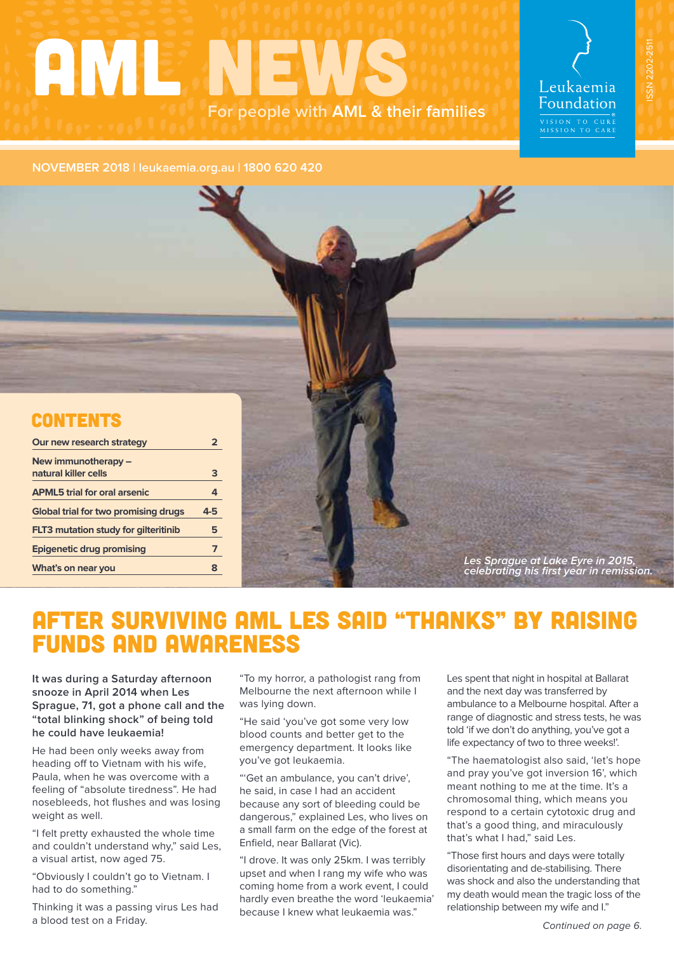# **AMLENEWS For people with AML & their families**

Leukaemia Foundation VISION TO CURE<br>MISSION TO CARE

ISSN 2202-2511

ISSN 2202-2511

#### **NOVEMBER 2018 | leukaemia.org.au | 1800 620 420**



| Our new research strategy                   |         |  |                                                                               |
|---------------------------------------------|---------|--|-------------------------------------------------------------------------------|
| New immunotherapy -                         |         |  |                                                                               |
| natural killer cells                        |         |  |                                                                               |
| <b>APML5</b> trial for oral arsenic         |         |  |                                                                               |
| Global trial for two promising drugs        | $4 - 5$ |  |                                                                               |
| <b>FLT3</b> mutation study for gilteritinib |         |  |                                                                               |
| <b>Epigenetic drug promising</b>            |         |  |                                                                               |
| What's on near you                          |         |  | Les Sprague at Lake Eyre in 2015,<br>celebrating his first year in remission. |

# AFTER SURVIVING AML LES SAID "THANKS" BY RAISING FUNDS AND AWARENESS

**It was during a Saturday afternoon snooze in April 2014 when Les Sprague, 71, got a phone call and the "total blinking shock" of being told he could have leukaemia!**

He had been only weeks away from heading off to Vietnam with his wife, Paula, when he was overcome with a feeling of "absolute tiredness". He had nosebleeds, hot flushes and was losing weight as well.

"I felt pretty exhausted the whole time and couldn't understand why," said Les, a visual artist, now aged 75.

"Obviously I couldn't go to Vietnam. I had to do something."

Thinking it was a passing virus Les had a blood test on a Friday.

"To my horror, a pathologist rang from Melbourne the next afternoon while I was lying down.

"He said 'you've got some very low blood counts and better get to the emergency department. It looks like you've got leukaemia.

"'Get an ambulance, you can't drive', he said, in case I had an accident because any sort of bleeding could be dangerous," explained Les, who lives on a small farm on the edge of the forest at Enfield, near Ballarat (Vic).

"I drove. It was only 25km. I was terribly upset and when I rang my wife who was coming home from a work event, I could hardly even breathe the word 'leukaemia' because I knew what leukaemia was."

Les spent that night in hospital at Ballarat and the next day was transferred by ambulance to a Melbourne hospital. After a range of diagnostic and stress tests, he was told 'if we don't do anything, you've got a life expectancy of two to three weeks!'.

"The haematologist also said, 'let's hope and pray you've got inversion 16', which meant nothing to me at the time. It's a chromosomal thing, which means you respond to a certain cytotoxic drug and that's a good thing, and miraculously that's what I had," said Les.

"Those first hours and days were totally disorientating and de-stabilising. There was shock and also the understanding that my death would mean the tragic loss of the relationship between my wife and I."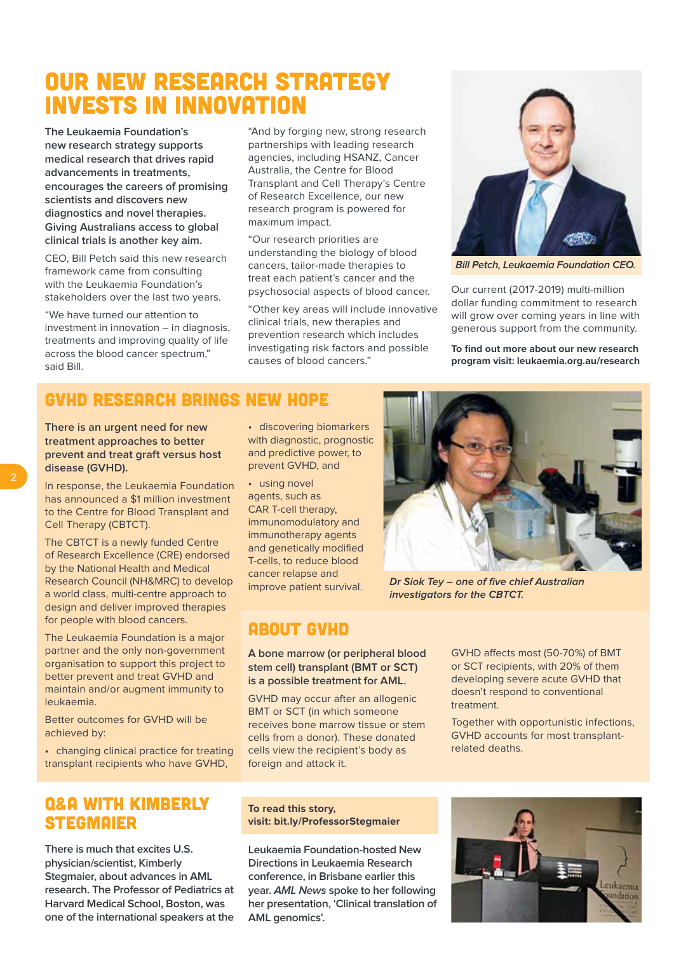# OUR NEW RESEARCH STRATEGY INVESTS IN INNOVATION

**The Leukaemia Foundation's new research strategy supports medical research that drives rapid advancements in treatments, encourages the careers of promising scientists and discovers new diagnostics and novel therapies. Giving Australians access to global clinical trials is another key aim.**

CEO, Bill Petch said this new research framework came from consulting with the Leukaemia Foundation's stakeholders over the last two years.

"We have turned our attention to investment in innovation – in diagnosis, treatments and improving quality of life across the blood cancer spectrum," said Bill.

"And by forging new, strong research partnerships with leading research agencies, including HSANZ, Cancer Australia, the Centre for Blood Transplant and Cell Therapy's Centre of Research Excellence, our new research program is powered for maximum impact.

"Our research priorities are understanding the biology of blood cancers, tailor-made therapies to treat each patient's cancer and the psychosocial aspects of blood cancer.

"Other key areas will include innovative clinical trials, new therapies and prevention research which includes investigating risk factors and possible causes of blood cancers."



**Bill Petch, Leukaemia Foundation CEO.** 

Our current (2017-2019) multi-million dollar funding commitment to research will grow over coming years in line with generous support from the community.

**To find out more about our new research program visit: [leukaemia.org.au/research](https://www.leukaemia.org.au/research/)**

### GVHD RESEARCH BRINGS NEW HOPE

**There is an urgent need for new treatment approaches to better prevent and treat graft versus host disease (GVHD).**

In response, the Leukaemia Foundation has announced a \$1 million investment to the Centre for Blood Transplant and Cell Therapy (CBTCT).

The CBTCT is a newly funded Centre of Research Excellence (CRE) endorsed by the National Health and Medical Research Council (NH&MRC) to develop a world class, multi-centre approach to design and deliver improved therapies for people with blood cancers.

The Leukaemia Foundation is a major partner and the only non-government organisation to support this project to better prevent and treat GVHD and maintain and/or augment immunity to leukaemia.

Better outcomes for GVHD will be achieved by:

• changing clinical practice for treating transplant recipients who have GVHD,

### Q&A WITH KIMBERLY **STEGMAIER**

**There is much that excites U.S. physician/scientist, Kimberly Stegmaier, about advances in AML research. The Professor of Pediatrics at Harvard Medical School, Boston, was one of the international speakers at the**  • discovering biomarkers with diagnostic, prognostic and predictive power, to prevent GVHD, and

• using novel agents, such as CAR T-cell therapy, immunomodulatory and immunotherapy agents and genetically modified T-cells, to reduce blood cancer relapse and improve patient survival.

## ABOUT GVHD

#### **A bone marrow (or peripheral blood stem cell) transplant (BMT or SCT) is a possible treatment for AML.**

GVHD may occur after an allogenic BMT or SCT (in which someone receives bone marrow tissue or stem cells from a donor). These donated cells view the recipient's body as foreign and attack it.

GVHD affects most (50-70%) of BMT or SCT recipients, with 20% of them developing severe acute GVHD that doesn't respond to conventional treatment.

Dr Siok Tey - one of five chief Australian

investigators for the CBTCT.

Together with opportunistic infections, GVHD accounts for most transplantrelated deaths.

**To read this story, visit: [bit.ly/ProfessorStegmaier](https://www.leukaemia.org.au/qa-kimberly-stegmaier/)**

**Leukaemia Foundation-hosted New Directions in Leukaemia Research conference, in Brisbane earlier this year. AML News spoke to her following her presentation, 'Clinical translation of AML genomics'.** 

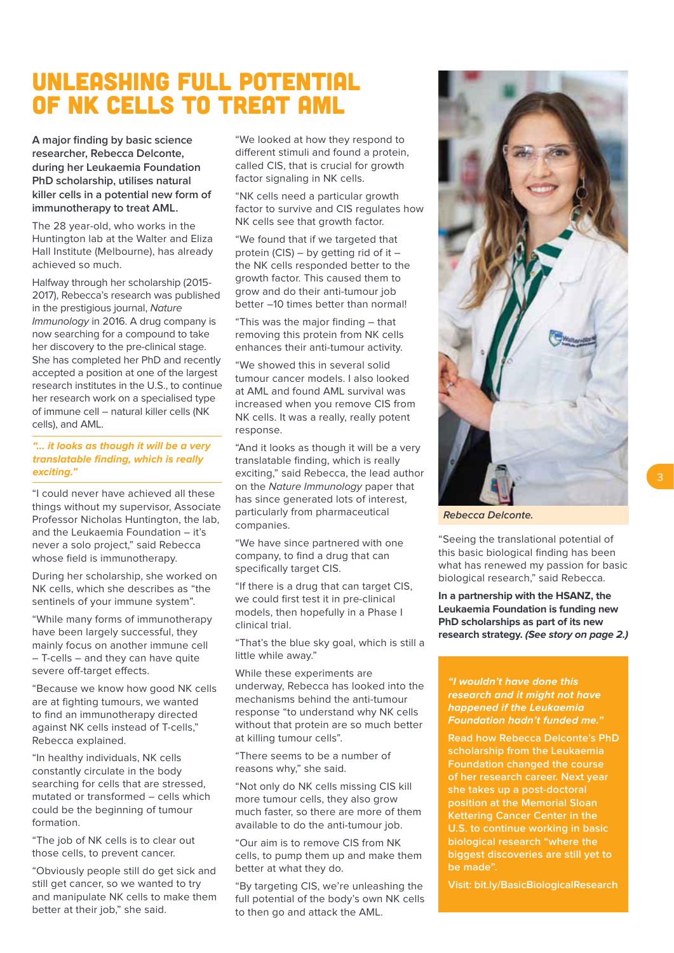# UNLEASHING FULL POTENTIAL OF NK CELLS TO TREAT AML

**A major finding by basic science researcher, Rebecca Delconte, during her Leukaemia Foundation PhD scholarship, utilises natural killer cells in a potential new form of immunotherapy to treat AML.**

The 28 year-old, who works in the Huntington lab at the Walter and Eliza Hall Institute (Melbourne), has already achieved so much.

Halfway through her scholarship (2015- 2017), Rebecca's research was published in the prestigious journal, Nature Immunology in 2016. A drug company is now searching for a compound to take her discovery to the pre-clinical stage. She has completed her PhD and recently accepted a position at one of the largest research institutes in the U.S., to continue her research work on a specialised type of immune cell – natural killer cells (NK cells), and AML.

#### **"… it looks as though it will be a very translatable finding, which is really exciting."**

"I could never have achieved all these things without my supervisor, Associate Professor Nicholas Huntington, the lab, and the Leukaemia Foundation – it's never a solo project," said Rebecca whose field is immunotherapy.

During her scholarship, she worked on NK cells, which she describes as "the sentinels of your immune system".

"While many forms of immunotherapy have been largely successful, they mainly focus on another immune cell – T-cells – and they can have quite severe off-target effects.

"Because we know how good NK cells are at fighting tumours, we wanted to find an immunotherapy directed against NK cells instead of T-cells," Rebecca explained.

"In healthy individuals, NK cells constantly circulate in the body searching for cells that are stressed, mutated or transformed – cells which could be the beginning of tumour formation.

"The job of NK cells is to clear out those cells, to prevent cancer.

"Obviously people still do get sick and still get cancer, so we wanted to try and manipulate NK cells to make them better at their job," she said.

"We looked at how they respond to different stimuli and found a protein, called CIS, that is crucial for growth factor signaling in NK cells.

"NK cells need a particular growth factor to survive and CIS regulates how NK cells see that growth factor.

"We found that if we targeted that protein (CIS) – by getting rid of it – the NK cells responded better to the growth factor. This caused them to grow and do their anti-tumour job better –10 times better than normal!

"This was the major finding – that removing this protein from NK cells enhances their anti-tumour activity.

"We showed this in several solid tumour cancer models. I also looked at AML and found AML survival was increased when you remove CIS from NK cells. It was a really, really potent response.

"And it looks as though it will be a very translatable finding, which is really exciting," said Rebecca, the lead author on the Nature Immunology paper that has since generated lots of interest, particularly from pharmaceutical companies.

"We have since partnered with one company, to find a drug that can specifically target CIS.

"If there is a drug that can target CIS, we could first test it in pre-clinical models, then hopefully in a Phase I clinical trial.

"That's the blue sky goal, which is still a little while away."

While these experiments are underway, Rebecca has looked into the mechanisms behind the anti-tumour response "to understand why NK cells without that protein are so much better at killing tumour cells".

"There seems to be a number of reasons why," she said.

"Not only do NK cells missing CIS kill more tumour cells, they also grow much faster, so there are more of them available to do the anti-tumour job.

"Our aim is to remove CIS from NK cells, to pump them up and make them better at what they do.

"By targeting CIS, we're unleashing the full potential of the body's own NK cells to then go and attack the AML.



**Rebecca Delconte.** 

"Seeing the translational potential of this basic biological finding has been what has renewed my passion for basic biological research," said Rebecca.

**In a partnership with the HSANZ, the Leukaemia Foundation is funding new PhD scholarships as part of its new research strategy. (See story on page 2.)**

**"I wouldn't have done this research and it might not have happened if the Leukaemia Foundation hadn't funded me."** 

**Read how Rebecca Delconte's PhD scholarship from the Leukaemia Foundation changed the course of her research career. Next year she takes up a post-doctoral position at the Memorial Sloan Kettering Cancer Center in the U.S. to continue working in basic biological research "where the biggest discoveries are still yet to be made".** 

**Visit: [bit.ly/BasicBiologicalResearch](https://www.leukaemia.org.au/the-biggest-discoveries-basic-biological-research/)**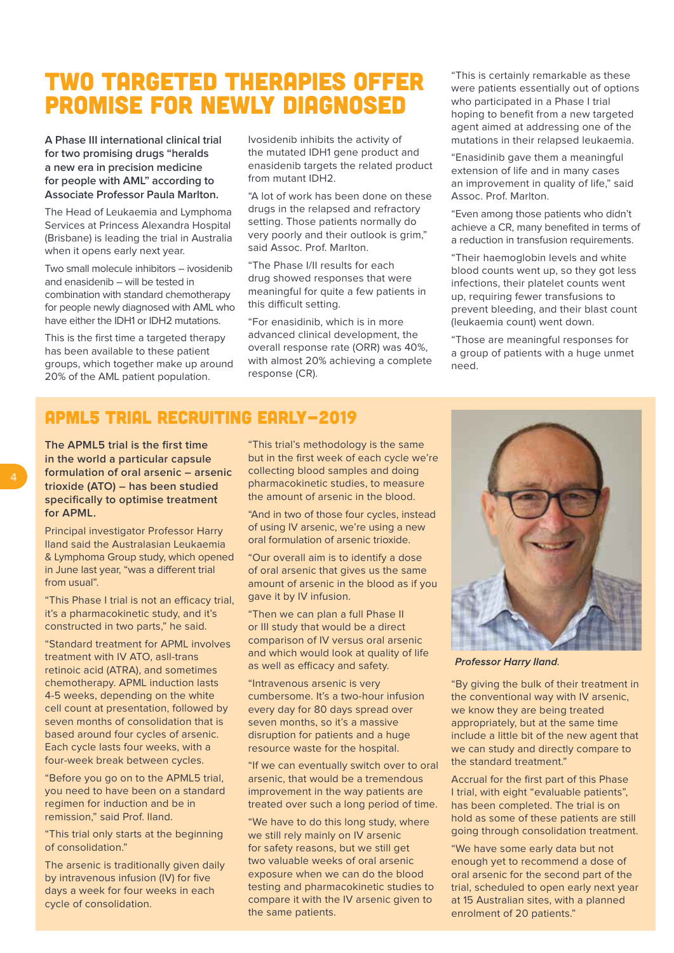# TWO TARGETED THERAPIES OFFER PROMISE FOR NEWLY DIAGNOSED

**A Phase III international clinical trial for two promising drugs "heralds a new era in precision medicine for people with AML" according to Associate Professor Paula Marlton.**

The Head of Leukaemia and Lymphoma Services at Princess Alexandra Hospital (Brisbane) is leading the trial in Australia when it opens early next year.

Two small molecule inhibitors – ivosidenib and enasidenib – will be tested in combination with standard chemotherapy for people newly diagnosed with AML who have either the IDH1 or IDH2 mutations.

This is the first time a targeted therapy has been available to these patient groups, which together make up around 20% of the AML patient population.

Ivosidenib inhibits the activity of the mutated IDH1 gene product and enasidenib targets the related product from mutant IDH2.

"A lot of work has been done on these drugs in the relapsed and refractory setting. Those patients normally do very poorly and their outlook is grim," said Assoc. Prof. Marlton.

"The Phase I/II results for each drug showed responses that were meaningful for quite a few patients in this difficult setting.

"For enasidinib, which is in more advanced clinical development, the overall response rate (ORR) was 40%, with almost 20% achieving a complete response (CR).

"This is certainly remarkable as these were patients essentially out of options who participated in a Phase I trial hoping to benefit from a new targeted agent aimed at addressing one of the mutations in their relapsed leukaemia.

"Enasidinib gave them a meaningful extension of life and in many cases an improvement in quality of life," said Assoc. Prof. Marlton.

"Even among those patients who didn't achieve a CR, many benefited in terms of a reduction in transfusion requirements.

"Their haemoglobin levels and white blood counts went up, so they got less infections, their platelet counts went up, requiring fewer transfusions to prevent bleeding, and their blast count (leukaemia count) went down.

"Those are meaningful responses for a group of patients with a huge unmet need.

### APML5 TRIAL RECRUITING EARLY-2019

**The APML5 trial is the first time in the world a particular capsule formulation of oral arsenic – arsenic trioxide (ATO) – has been studied specifically to optimise treatment for APML.**

Principal investigator Professor Harry Iland said the Australasian Leukaemia & Lymphoma Group study, which opened in June last year, "was a different trial from usual".

"This Phase I trial is not an efficacy trial, it's a pharmacokinetic study, and it's constructed in two parts," he said.

"Standard treatment for APML involves treatment with IV ATO, asll-trans retinoic acid (ATRA), and sometimes chemotherapy. APML induction lasts 4-5 weeks, depending on the white cell count at presentation, followed by seven months of consolidation that is based around four cycles of arsenic. Each cycle lasts four weeks, with a four-week break between cycles.

"Before you go on to the APML5 trial, you need to have been on a standard regimen for induction and be in remission," said Prof. Iland.

"This trial only starts at the beginning of consolidation."

The arsenic is traditionally given daily by intravenous infusion (IV) for five days a week for four weeks in each cycle of consolidation.

"This trial's methodology is the same but in the first week of each cycle we're collecting blood samples and doing pharmacokinetic studies, to measure the amount of arsenic in the blood.

"And in two of those four cycles, instead of using IV arsenic, we're using a new oral formulation of arsenic trioxide.

"Our overall aim is to identify a dose of oral arsenic that gives us the same amount of arsenic in the blood as if you gave it by IV infusion.

"Then we can plan a full Phase II or III study that would be a direct comparison of IV versus oral arsenic and which would look at quality of life as well as efficacy and safety.

"Intravenous arsenic is very cumbersome. It's a two-hour infusion every day for 80 days spread over seven months, so it's a massive disruption for patients and a huge resource waste for the hospital.

"If we can eventually switch over to oral arsenic, that would be a tremendous improvement in the way patients are treated over such a long period of time.

"We have to do this long study, where we still rely mainly on IV arsenic for safety reasons, but we still get two valuable weeks of oral arsenic exposure when we can do the blood testing and pharmacokinetic studies to compare it with the IV arsenic given to the same patients.



**Professor Harry Iland.** 

"By giving the bulk of their treatment in the conventional way with IV arsenic, we know they are being treated appropriately, but at the same time include a little bit of the new agent that we can study and directly compare to the standard treatment."

Accrual for the first part of this Phase I trial, with eight "evaluable patients", has been completed. The trial is on hold as some of these patients are still going through consolidation treatment.

"We have some early data but not enough yet to recommend a dose of oral arsenic for the second part of the trial, scheduled to open early next year at 15 Australian sites, with a planned enrolment of 20 patients."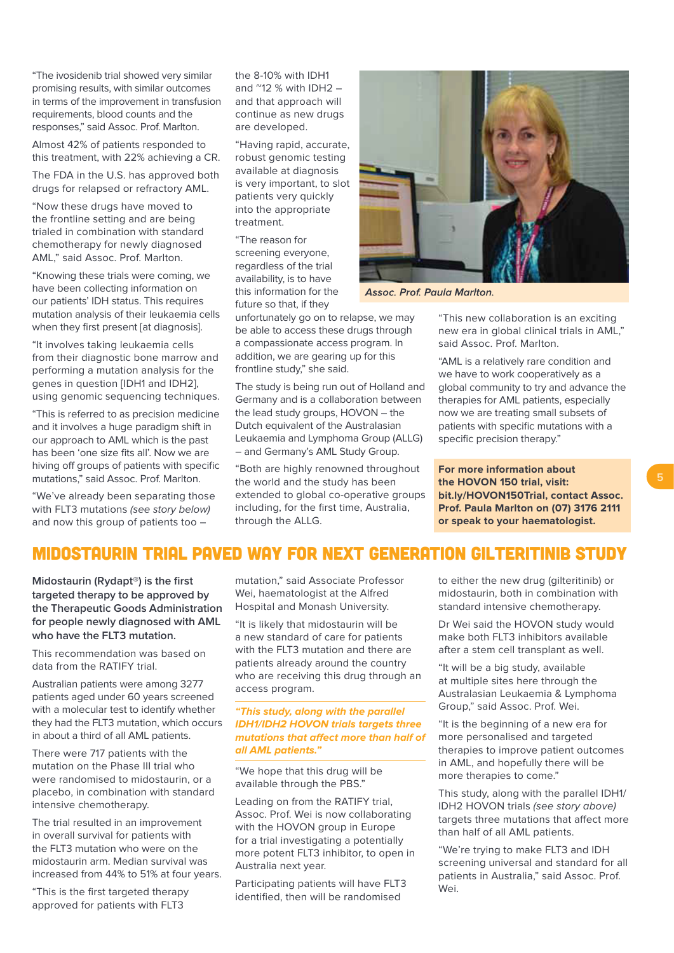"The ivosidenib trial showed very similar promising results, with similar outcomes in terms of the improvement in transfusion requirements, blood counts and the responses," said Assoc. Prof. Marlton.

Almost 42% of patients responded to this treatment, with 22% achieving a CR.

The FDA in the U.S. has approved both drugs for relapsed or refractory AML.

"Now these drugs have moved to the frontline setting and are being trialed in combination with standard chemotherapy for newly diagnosed AML," said Assoc. Prof. Marlton.

"Knowing these trials were coming, we have been collecting information on our patients' IDH status. This requires mutation analysis of their leukaemia cells when they first present [at diagnosis].

"It involves taking leukaemia cells from their diagnostic bone marrow and performing a mutation analysis for the genes in question [IDH1 and IDH2], using genomic sequencing techniques.

"This is referred to as precision medicine and it involves a huge paradigm shift in our approach to AML which is the past has been 'one size fits all'. Now we are hiving off groups of patients with specific mutations," said Assoc. Prof. Marlton.

"We've already been separating those with FLT3 mutations (see story below) and now this group of patients too –

the 8-10% with IDH1 and  $^{\prime\prime}$ 12 % with IDH2 and that approach will continue as new drugs are developed.

"Having rapid, accurate, robust genomic testing available at diagnosis is very important, to slot patients very quickly into the appropriate treatment.

"The reason for screening everyone, regardless of the trial availability, is to have this information for the future so that, if they

unfortunately go on to relapse, we may be able to access these drugs through a compassionate access program. In addition, we are gearing up for this frontline study," she said.

The study is being run out of Holland and Germany and is a collaboration between the lead study groups, HOVON – the Dutch equivalent of the Australasian Leukaemia and Lymphoma Group (ALLG) – and Germany's AML Study Group.

"Both are highly renowned throughout the world and the study has been extended to global co-operative groups including, for the first time, Australia, through the ALLG.



**Assoc. Prof. Paula Marlton.** 

"This new collaboration is an exciting new era in global clinical trials in AML," said Assoc. Prof. Marlton.

"AML is a relatively rare condition and we have to work cooperatively as a global community to try and advance the therapies for AML patients, especially now we are treating small subsets of patients with specific mutations with a specific precision therapy."

**For more information about the HOVON 150 trial, visit: [bit.ly/HOVON150Trial,](https://www.leukaemia.org.au/hovon-150-trial/) contact Assoc. Prof. Paula Marlton on (07) 3176 2111 or speak to your haematologist.** 

### MIDOSTAURIN TRIAL PAVED WAY FOR NEXT GENERATION GILTERITINIB STUDY

**Midostaurin (Rydapt®) is the first targeted therapy to be approved by the Therapeutic Goods Administration for people newly diagnosed with AML who have the FLT3 mutation.**

This recommendation was based on data from the RATIFY trial.

Australian patients were among 3277 patients aged under 60 years screened with a molecular test to identify whether they had the FLT3 mutation, which occurs in about a third of all AML patients.

There were 717 patients with the mutation on the Phase III trial who were randomised to midostaurin, or a placebo, in combination with standard intensive chemotherapy.

The trial resulted in an improvement in overall survival for patients with the FLT3 mutation who were on the midostaurin arm. Median survival was increased from 44% to 51% at four years.

"This is the first targeted therapy approved for patients with FLT3

mutation," said Associate Professor Wei, haematologist at the Alfred Hospital and Monash University.

"It is likely that midostaurin will be a new standard of care for patients with the FLT3 mutation and there are patients already around the country who are receiving this drug through an access program.

#### **"This study, along with the parallel IDH1/IDH2 HOVON trials targets three mutations that affect more than half of all AML patients."**

"We hope that this drug will be available through the PBS."

Leading on from the RATIFY trial, Assoc. Prof. Wei is now collaborating with the HOVON group in Europe for a trial investigating a potentially more potent FLT3 inhibitor, to open in Australia next year.

Participating patients will have FLT3 identified, then will be randomised

to either the new drug (gilteritinib) or midostaurin, both in combination with standard intensive chemotherapy.

Dr Wei said the HOVON study would make both FLT3 inhibitors available after a stem cell transplant as well.

"It will be a big study, available at multiple sites here through the Australasian Leukaemia & Lymphoma Group," said Assoc. Prof. Wei.

"It is the beginning of a new era for more personalised and targeted therapies to improve patient outcomes in AML, and hopefully there will be more therapies to come."

This study, along with the parallel IDH1/ IDH2 HOVON trials (see story above) targets three mutations that affect more than half of all AML patients.

"We're trying to make FLT3 and IDH screening universal and standard for all patients in Australia," said Assoc. Prof. Wei.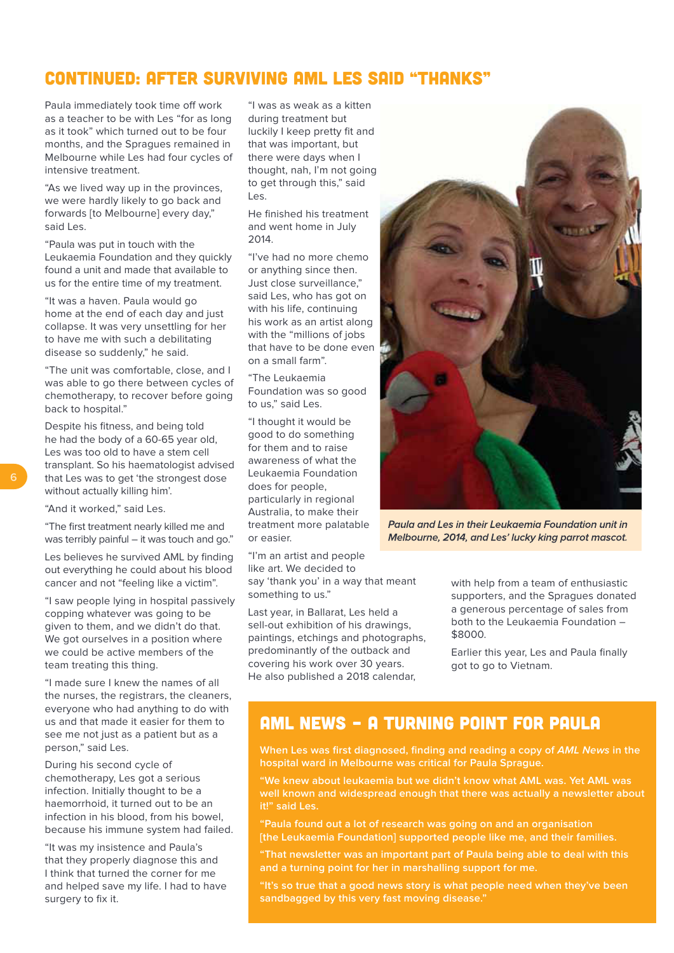### CONTINUED: AFTER SURVIVING AML LES SAID "THANKS"

Paula immediately took time off work as a teacher to be with Les "for as long as it took" which turned out to be four months, and the Spragues remained in Melbourne while Les had four cycles of intensive treatment.

"As we lived way up in the provinces, we were hardly likely to go back and forwards [to Melbourne] every day," said Les.

"Paula was put in touch with the Leukaemia Foundation and they quickly found a unit and made that available to us for the entire time of my treatment.

"It was a haven. Paula would go home at the end of each day and just collapse. It was very unsettling for her to have me with such a debilitating disease so suddenly," he said.

"The unit was comfortable, close, and I was able to go there between cycles of chemotherapy, to recover before going back to hospital."

Despite his fitness, and being told he had the body of a 60-65 year old, Les was too old to have a stem cell transplant. So his haematologist advised that Les was to get 'the strongest dose without actually killing him'.

"And it worked," said Les.

"The first treatment nearly killed me and was terribly painful – it was touch and go."

Les believes he survived AML by finding out everything he could about his blood cancer and not "feeling like a victim".

"I saw people lying in hospital passively copping whatever was going to be given to them, and we didn't do that. We got ourselves in a position where we could be active members of the team treating this thing.

"I made sure I knew the names of all the nurses, the registrars, the cleaners, everyone who had anything to do with us and that made it easier for them to see me not just as a patient but as a person," said Les.

During his second cycle of chemotherapy, Les got a serious infection. Initially thought to be a haemorrhoid, it turned out to be an infection in his blood, from his bowel, because his immune system had failed.

"It was my insistence and Paula's that they properly diagnose this and I think that turned the corner for me and helped save my life. I had to have surgery to fix it.

"I was as weak as a kitten during treatment but luckily I keep pretty fit and that was important, but there were days when I thought, nah, I'm not going to get through this," said  $L_{\text{ac}}$ 

He finished his treatment and went home in July 2014.

"I've had no more chemo or anything since then. Just close surveillance," said Les, who has got on with his life, continuing his work as an artist along with the "millions of jobs that have to be done even on a small farm".

"The Leukaemia Foundation was so good to us," said Les.

"I thought it would be good to do something for them and to raise awareness of what the Leukaemia Foundation does for people, particularly in regional Australia, to make their treatment more palatable or easier.

"I'm an artist and people like art. We decided to say 'thank you' in a way that meant something to us."

Last year, in Ballarat, Les held a sell-out exhibition of his drawings, paintings, etchings and photographs, predominantly of the outback and covering his work over 30 years. He also published a 2018 calendar,



Paula and Les in their Leukaemia Foundation unit in Melbourne, 2014, and Les' lucky king parrot mascot.

with help from a team of enthusiastic supporters, and the Spragues donated a generous percentage of sales from both to the Leukaemia Foundation – \$8000.

Earlier this year, Les and Paula finally got to go to Vietnam.

### AML NEWS – A TURNING POINT FOR PAULA

**When Les was first diagnosed, finding and reading a copy of AML News in the hospital ward in Melbourne was critical for Paula Sprague.** 

**"We knew about leukaemia but we didn't know what AML was. Yet AML was well known and widespread enough that there was actually a newsletter about it!" said Les.**

**"Paula found out a lot of research was going on and an organisation [the Leukaemia Foundation] supported people like me, and their families.** 

**"That newsletter was an important part of Paula being able to deal with this and a turning point for her in marshalling support for me.** 

**"It's so true that a good news story is what people need when they've been sandbagged by this very fast moving disease."**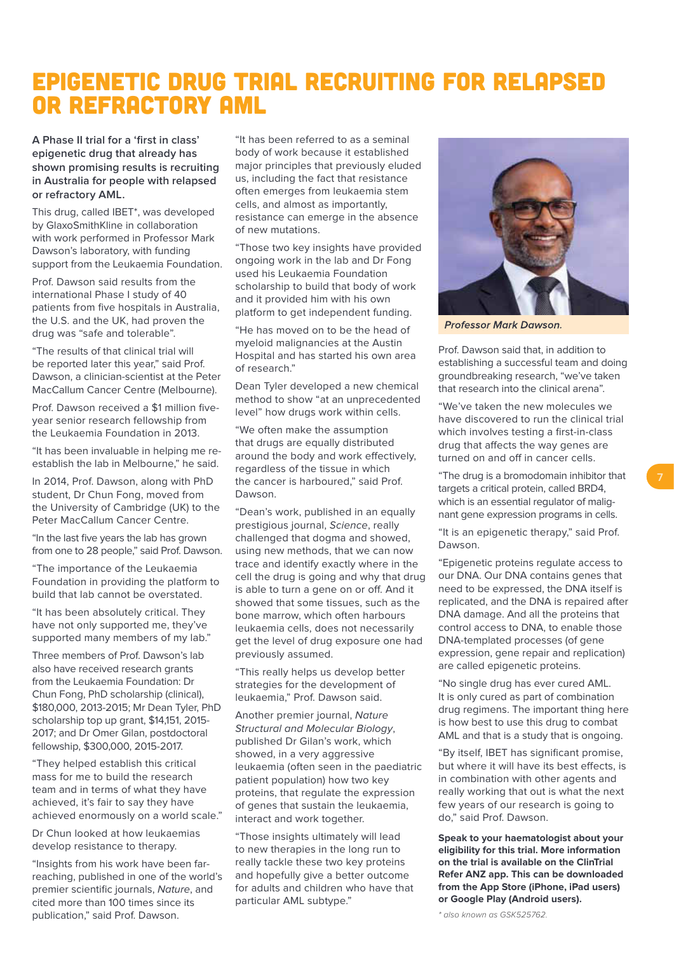# EPIGENETIC DRUG TRIAL RECRUITING FOR RELAPSED OR REFRACTORY AML

**A Phase II trial for a 'first in class' epigenetic drug that already has shown promising results is recruiting in Australia for people with relapsed or refractory AML.**

This drug, called IBET\*, was developed by GlaxoSmithKline in collaboration with work performed in Professor Mark Dawson's laboratory, with funding support from the Leukaemia Foundation.

Prof. Dawson said results from the international Phase I study of 40 patients from five hospitals in Australia, the U.S. and the UK, had proven the drug was "safe and tolerable".

"The results of that clinical trial will be reported later this year," said Prof. Dawson, a clinician-scientist at the Peter MacCallum Cancer Centre (Melbourne).

Prof. Dawson received a \$1 million fiveyear senior research fellowship from the Leukaemia Foundation in 2013.

"It has been invaluable in helping me reestablish the lab in Melbourne," he said.

In 2014, Prof. Dawson, along with PhD student, Dr Chun Fong, moved from the University of Cambridge (UK) to the Peter MacCallum Cancer Centre.

"In the last five years the lab has grown from one to 28 people," said Prof. Dawson.

"The importance of the Leukaemia Foundation in providing the platform to build that lab cannot be overstated.

"It has been absolutely critical. They have not only supported me, they've supported many members of my lab."

Three members of Prof. Dawson's lab also have received research grants from the Leukaemia Foundation: Dr Chun Fong, PhD scholarship (clinical), \$180,000, 2013-2015; Mr Dean Tyler, PhD scholarship top up grant, \$14,151, 2015- 2017; and Dr Omer Gilan, postdoctoral fellowship, \$300,000, 2015-2017.

"They helped establish this critical mass for me to build the research team and in terms of what they have achieved, it's fair to say they have achieved enormously on a world scale."

Dr Chun looked at how leukaemias develop resistance to therapy.

"Insights from his work have been farreaching, published in one of the world's premier scientific journals, Nature, and cited more than 100 times since its publication," said Prof. Dawson.

"It has been referred to as a seminal body of work because it established major principles that previously eluded us, including the fact that resistance often emerges from leukaemia stem cells, and almost as importantly, resistance can emerge in the absence of new mutations.

"Those two key insights have provided ongoing work in the lab and Dr Fong used his Leukaemia Foundation scholarship to build that body of work and it provided him with his own platform to get independent funding.

"He has moved on to be the head of myeloid malignancies at the Austin Hospital and has started his own area of research."

Dean Tyler developed a new chemical method to show "at an unprecedented level" how drugs work within cells.

"We often make the assumption that drugs are equally distributed around the body and work effectively, regardless of the tissue in which the cancer is harboured," said Prof. Dawson.

"Dean's work, published in an equally prestigious journal, Science, really challenged that dogma and showed, using new methods, that we can now trace and identify exactly where in the cell the drug is going and why that drug is able to turn a gene on or off. And it showed that some tissues, such as the bone marrow, which often harbours leukaemia cells, does not necessarily get the level of drug exposure one had previously assumed.

"This really helps us develop better strategies for the development of leukaemia," Prof. Dawson said.

Another premier journal, Nature Structural and Molecular Biology, published Dr Gilan's work, which showed, in a very aggressive leukaemia (often seen in the paediatric patient population) how two key proteins, that regulate the expression of genes that sustain the leukaemia, interact and work together.

"Those insights ultimately will lead to new therapies in the long run to really tackle these two key proteins and hopefully give a better outcome for adults and children who have that particular AML subtype."



**Professor Mark Dawson.** 

Prof. Dawson said that, in addition to establishing a successful team and doing groundbreaking research, "we've taken that research into the clinical arena".

"We've taken the new molecules we have discovered to run the clinical trial which involves testing a first-in-class drug that affects the way genes are turned on and off in cancer cells.

"The drug is a bromodomain inhibitor that targets a critical protein, called BRD4, which is an essential regulator of malignant gene expression programs in cells.

"It is an epigenetic therapy," said Prof. Dawson.

"Epigenetic proteins regulate access to our DNA. Our DNA contains genes that need to be expressed, the DNA itself is replicated, and the DNA is repaired after DNA damage. And all the proteins that control access to DNA, to enable those DNA-templated processes (of gene expression, gene repair and replication) are called epigenetic proteins.

"No single drug has ever cured AML. It is only cured as part of combination drug regimens. The important thing here is how best to use this drug to combat AML and that is a study that is ongoing.

"By itself, IBET has significant promise, but where it will have its best effects, is in combination with other agents and really working that out is what the next few years of our research is going to do," said Prof. Dawson.

**Speak to your haematologist about your eligibility for this trial. More information on the trial is available on the ClinTrial Refer ANZ app. This can be downloaded from the App Store (iPhone, iPad users) or Google Play (Android users).**

\* also known as GSK525762.